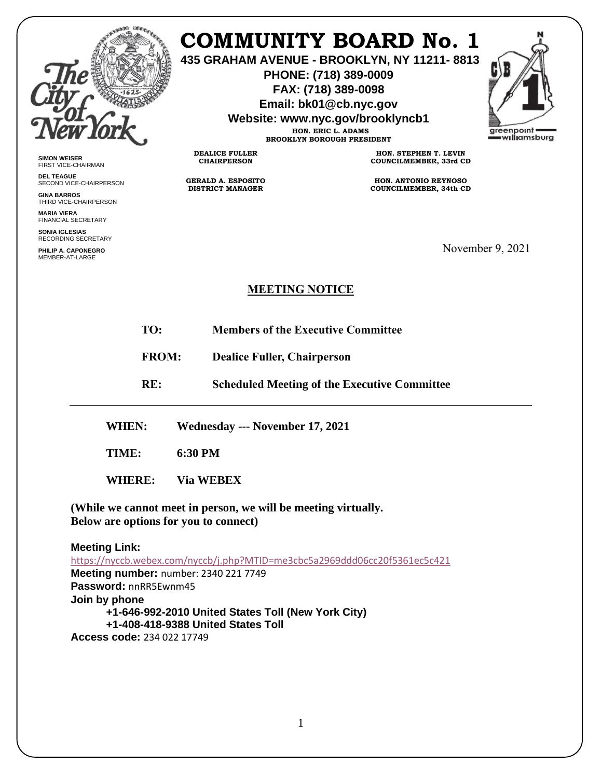

## **COMMUNITY BOARD No. 1**

**435 GRAHAM AVENUE - BROOKLYN, NY 11211- 8813**

**PHONE: (718) 389-0009 FAX: (718) 389-0098**

**Email: bk01@cb.nyc.gov**

**Website: www.nyc.gov/brooklyncb1**

**HON. ERIC L. ADAMS BROOKLYN BOROUGH PRESIDENT**



**SIMON WEISER** FIRST VICE-CHAIRMAN

**DEL TEAGUE** SECOND VICE-CHAIRPERSON

**GINA BARROS** THIRD VICE-CHAIRPERSON

**MARIA VIERA** FINANCIAL SECRETARY

**SONIA IGLESIAS** RECORDING SECRETARY

**PHILIP A. CAPONEGRO** MEMBER-AT-LARGE

**HON. STEPHEN T. LEVIN COUNCILMEMBER, 33rd CD**

**HON. ANTONIO REYNOSO COUNCILMEMBER, 34th CD**

November 9, 2021

## **MEETING NOTICE**

- **TO: Members of the Executive Committee**
- **FROM: Dealice Fuller, Chairperson**

**RE: Scheduled Meeting of the Executive Committee**

**WHEN: Wednesday --- November 17, 2021**

**DEALICE FULLER CHAIRPERSON**

**GERALD A. ESPOSITO DISTRICT MANAGER**

**TIME: 6:30 PM**

**WHERE: Via WEBEX**

**(While we cannot meet in person, we will be meeting virtually. Below are options for you to connect)**

**Meeting Link:**  <https://nyccb.webex.com/nyccb/j.php?MTID=me3cbc5a2969ddd06cc20f5361ec5c421> **Meeting number:** number: 2340 221 7749 **Password:** nnRR5Ewnm45 **Join by phone +1-646-992-2010 United States Toll (New York City) +1-408-418-9388 United States Toll**

**Access code:** 234 022 17749